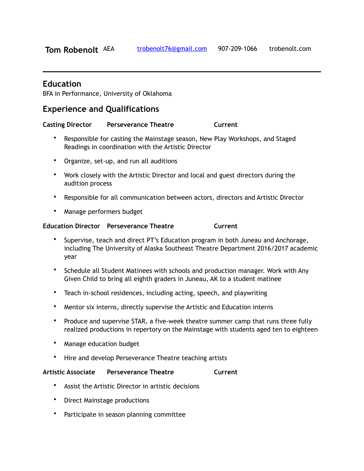# **Education**

BFA in Performance, University of Oklahoma

# **Experience and Qualifications**

**Casting Director Perseverance Theatre Current Current** 

- Responsible for casting the Mainstage season, New Play Workshops, and Staged Readings in coordination with the Artistic Director
- Organize, set-up, and run all auditions
- Work closely with the Artistic Director and local and guest directors during the audition process
- Responsible for all communication between actors, directors and Artistic Director
- Manage performers budget

### **Education Director** Perseverance Theatre **Current**

- Supervise, teach and direct PT's Education program in both Juneau and Anchorage, including The University of Alaska Southeast Theatre Department 2016/2017 academic year
- Schedule all Student Matinees with schools and production manager. Work with Any Given Child to bring all eighth graders in Juneau, AK to a student matinee
- Teach in-school residences, including acting, speech, and playwriting
- Mentor six interns, directly supervise the Artistic and Education interns
- Produce and supervise STAR, a five-week theatre summer camp that runs three fully realized productions in repertory on the Mainstage with students aged ten to eighteen
- Manage education budget
- Hire and develop Perseverance Theatre teaching artists

### **Artistic Associate Perseverance Theatre Current**

- Assist the Artistic Director in artistic decisions
- Direct Mainstage productions
- Participate in season planning committee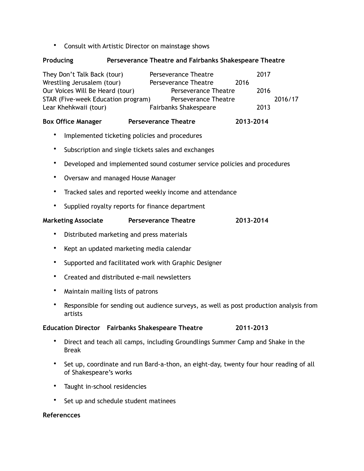• Consult with Artistic Director on mainstage shows

# **Producing Perseverance Theatre and Fairbanks Shakespeare Theatre**

| They Don't Talk Back (tour)        | Perseverance Theatre         |      | 2017 |         |
|------------------------------------|------------------------------|------|------|---------|
| Wrestling Jerusalem (tour)         | Perseverance Theatre         | 2016 |      |         |
| Our Voices Will Be Heard (tour)    | Perseverance Theatre         |      | 2016 |         |
| STAR (Five-week Education program) | Perseverance Theatre         |      |      | 2016/17 |
| Lear Khehkwaii (tour)              | <b>Fairbanks Shakespeare</b> |      | 2013 |         |

## Box Office Manager **Perseverance Theatre** 2013-2014

- Implemented ticketing policies and procedures
- Subscription and single tickets sales and exchanges
- Developed and implemented sound costumer service policies and procedures
- Oversaw and managed House Manager
- Tracked sales and reported weekly income and attendance
- Supplied royalty reports for finance department

### **Marketing Associate Perseverance Theatre 2013-2014**

- Distributed marketing and press materials
- Kept an updated marketing media calendar
- Supported and facilitated work with Graphic Designer
- Created and distributed e-mail newsletters
- Maintain mailing lists of patrons
- Responsible for sending out audience surveys, as well as post production analysis from artists

# **Education Director Fairbanks Shakespeare Theatre 2011-2013**

- Direct and teach all camps, including Groundlings Summer Camp and Shake in the Break
- Set up, coordinate and run Bard-a-thon, an eight-day, twenty four hour reading of all of Shakespeare's works
- Taught in-school residencies
- Set up and schedule student matinees

#### **Referencces**